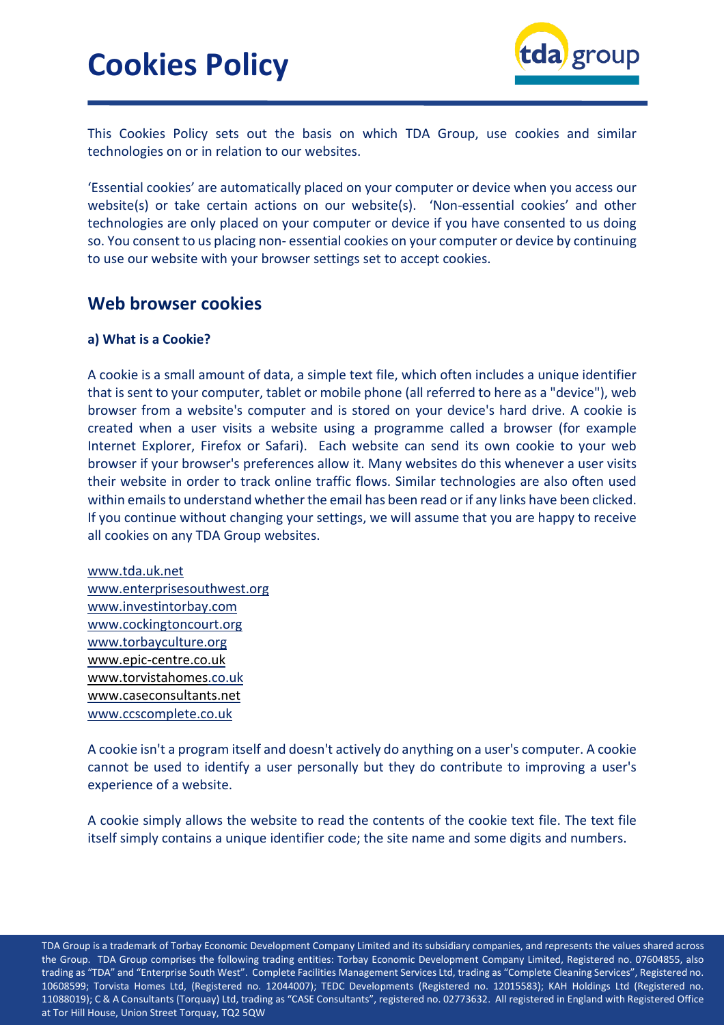

This Cookies Policy sets out the basis on which TDA Group, use cookies and similar technologies on or in relation to our websites.

'Essential cookies' are automatically placed on your computer or device when you access our website(s) or take certain actions on our website(s). 'Non-essential cookies' and other technologies are only placed on your computer or device if you have consented to us doing so. You consent to us placing non- essential cookies on your computer or device by continuing to use our website with your browser settings set to accept cookies.

### **Web browser cookies**

### **a) What is a Cookie?**

A cookie is a small amount of data, a simple text file, which often includes a unique identifier that is sent to your computer, tablet or mobile phone (all referred to here as a "device"), web browser from a website's computer and is stored on your device's hard drive. A cookie is created when a user visits a website using a programme called a browser (for example Internet Explorer, Firefox or Safari). Each website can send its own cookie to your web browser if your browser's preferences allow it. Many websites do this whenever a user visits their website in order to track online traffic flows. Similar technologies are also often used within emails to understand whether the email has been read or if any links have been clicked. If you continue without changing your settings, we will assume that you are happy to receive all cookies on any TDA Group websites.

[www.tda.uk.net](http://www.tda.uk.net/) www.enterprisesouthwest.org [www.investintorbay.com](http://www.investintorbay.com/) [www.cockingtoncourt.org](http://www.cockingtoncourt.org/) [www.torbayculture.org](http://www.torbayculture.org/) [www.epic-centre.co.uk](http://www.epic-centre.co.uk/) [www.torvistahomes.](http://www.torvistahomes/)co.uk [www.caseconsultants.net](http://www.caseconsultants.net/) www.ccscomplete.co.uk

A cookie isn't a program itself and doesn't actively do anything on a user's computer. A cookie cannot be used to identify a user personally but they do contribute to improving a user's experience of a website.

A cookie simply allows the website to read the contents of the cookie text file. The text file itself simply contains a unique identifier code; the site name and some digits and numbers.

TDA Group is a trademark of Torbay Economic Development Company Limited and its subsidiary companies, and represents the values shared across the Group. TDA Group comprises the following trading entities: Torbay Economic Development Company Limited, Registered no. 07604855, also trading as "TDA" and "Enterprise South West". Complete Facilities Management Services Ltd, trading as "Complete Cleaning Services", Registered no. 10608599; Torvista Homes Ltd, (Registered no. 12044007); TEDC Developments (Registered no. 12015583); KAH Holdings Ltd (Registered no. 11088019); C & A Consultants (Torquay) Ltd, trading as "CASE Consultants", registered no. 02773632. All registered in England with Registered Office at Tor Hill House, Union Street Torquay, TQ2 5QW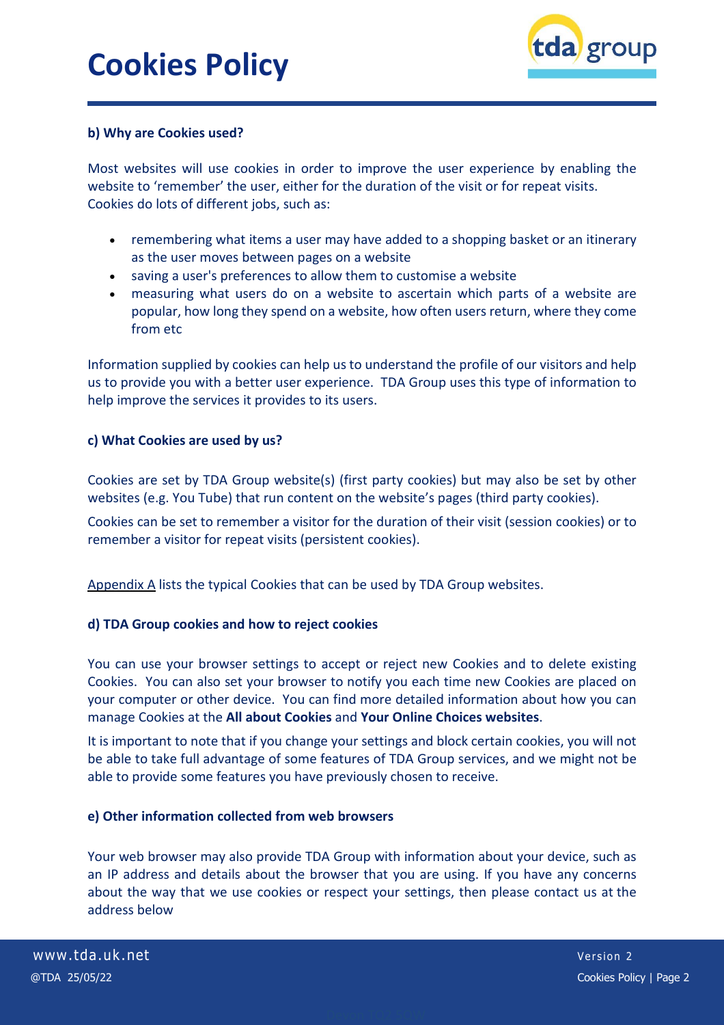

### **b) Why are Cookies used?**

Most websites will use cookies in order to improve the user experience by enabling the website to 'remember' the user, either for the duration of the visit or for repeat visits. Cookies do lots of different jobs, such as:

- remembering what items a user may have added to a shopping basket or an itinerary as the user moves between pages on a website
- saving a user's preferences to allow them to customise a website
- measuring what users do on a website to ascertain which parts of a website are popular, how long they spend on a website, how often users return, where they come from etc

Information supplied by cookies can help us to understand the profile of our visitors and help us to provide you with a better user experience. TDA Group uses this type of information to help improve the services it provides to its users.

### **c) What Cookies are used by us?**

Cookies are set by TDA Group website(s) (first party cookies) but may also be set by other websites (e.g. You Tube) that run content on the website's pages (third party cookies).

Cookies can be set to remember a visitor for the duration of their visit (session cookies) or to remember a visitor for repeat visits (persistent cookies).

Appendix A lists the typical Cookies that can be used by TDA Group websites.

### **d) TDA Group cookies and how to reject cookies**

You can use your browser settings to accept or reject new Cookies and to delete existing Cookies. You can also set your browser to notify you each time new Cookies are placed on your computer or other device. You can find more detailed information about how you can manage Cookies at the **All about Cookies** and **Your Online Choices websites**.

It is important to note that if you change your settings and block certain cookies, you will not be able to take full advantage of some features of TDA Group services, and we might not be able to provide some features you have previously chosen to receive.

#### **e) Other information collected from web browsers**

Your web browser may also provide TDA Group with information about your device, such as an IP address and details about the browser that you are using. If you have any concerns about the way that we use cookies or respect your settings, then please contact us at the address below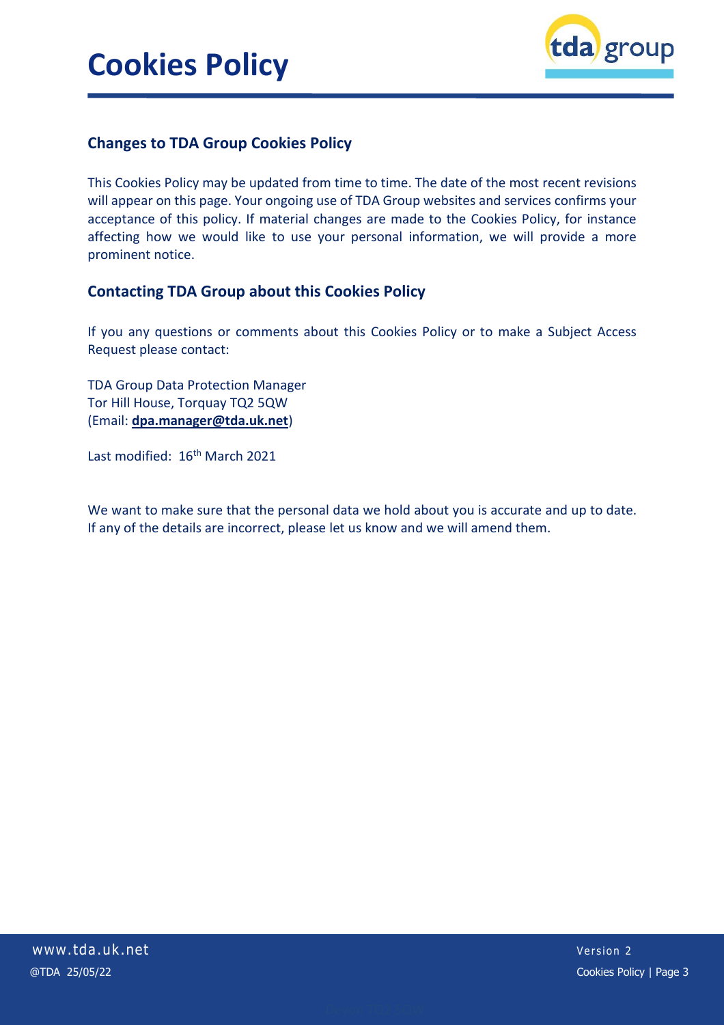

### **Changes to TDA Group Cookies Policy**

This Cookies Policy may be updated from time to time. The date of the most recent revisions will appear on this page. Your ongoing use of TDA Group websites and services confirms your acceptance of this policy. If material changes are made to the Cookies Policy, for instance affecting how we would like to use your personal information, we will provide a more prominent notice.

### **Contacting TDA Group about this Cookies Policy**

If you any questions or comments about this Cookies Policy or to make a Subject Access Request please contact:

TDA Group Data Protection Manager Tor Hill House, Torquay TQ2 5QW (Email: **[dpa.manager@tda.uk.net](mailto:dpa.manager@tda.uk.net)**)

Last modified: 16<sup>th</sup> March 2021

We want to make sure that the personal data we hold about you is accurate and up to date. If any of the details are incorrect, please let us know and we will amend them.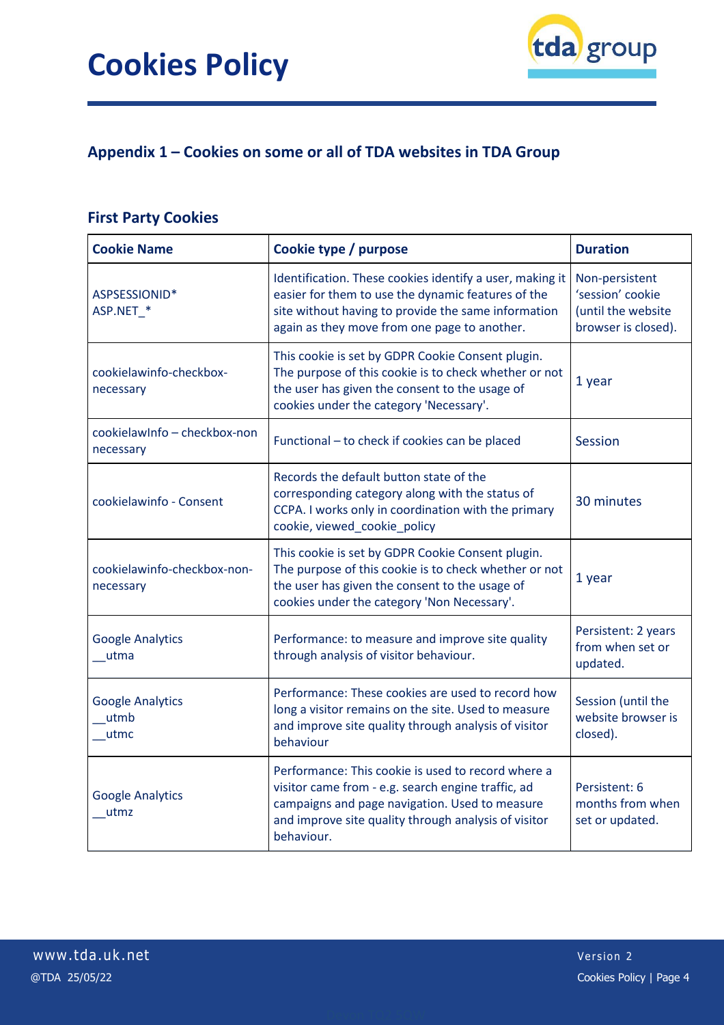

## **Appendix 1 – Cookies on some or all of TDA websites in TDA Group**

### **First Party Cookies**

| <b>Cookie Name</b>                        | Cookie type / purpose                                                                                                                                                                                                            | <b>Duration</b>                                                                 |
|-------------------------------------------|----------------------------------------------------------------------------------------------------------------------------------------------------------------------------------------------------------------------------------|---------------------------------------------------------------------------------|
| ASPSESSIONID*<br>ASP.NET *                | Identification. These cookies identify a user, making it<br>easier for them to use the dynamic features of the<br>site without having to provide the same information<br>again as they move from one page to another.            | Non-persistent<br>'session' cookie<br>(until the website<br>browser is closed). |
| cookielawinfo-checkbox-<br>necessary      | This cookie is set by GDPR Cookie Consent plugin.<br>The purpose of this cookie is to check whether or not<br>the user has given the consent to the usage of<br>cookies under the category 'Necessary'.                          | 1 year                                                                          |
| cookielawInfo - checkbox-non<br>necessary | Functional - to check if cookies can be placed                                                                                                                                                                                   | <b>Session</b>                                                                  |
| cookielawinfo - Consent                   | Records the default button state of the<br>corresponding category along with the status of<br>CCPA. I works only in coordination with the primary<br>cookie, viewed_cookie_policy                                                | 30 minutes                                                                      |
| cookielawinfo-checkbox-non-<br>necessary  | This cookie is set by GDPR Cookie Consent plugin.<br>The purpose of this cookie is to check whether or not<br>the user has given the consent to the usage of<br>cookies under the category 'Non Necessary'.                      | 1 year                                                                          |
| <b>Google Analytics</b><br>utma           | Performance: to measure and improve site quality<br>through analysis of visitor behaviour.                                                                                                                                       | Persistent: 2 years<br>from when set or<br>updated.                             |
| <b>Google Analytics</b><br>utmb<br>utmc   | Performance: These cookies are used to record how<br>long a visitor remains on the site. Used to measure<br>and improve site quality through analysis of visitor<br>behaviour                                                    | Session (until the<br>website browser is<br>closed).                            |
| <b>Google Analytics</b><br>utmz           | Performance: This cookie is used to record where a<br>visitor came from - e.g. search engine traffic, ad<br>campaigns and page navigation. Used to measure<br>and improve site quality through analysis of visitor<br>behaviour. | Persistent: 6<br>months from when<br>set or updated.                            |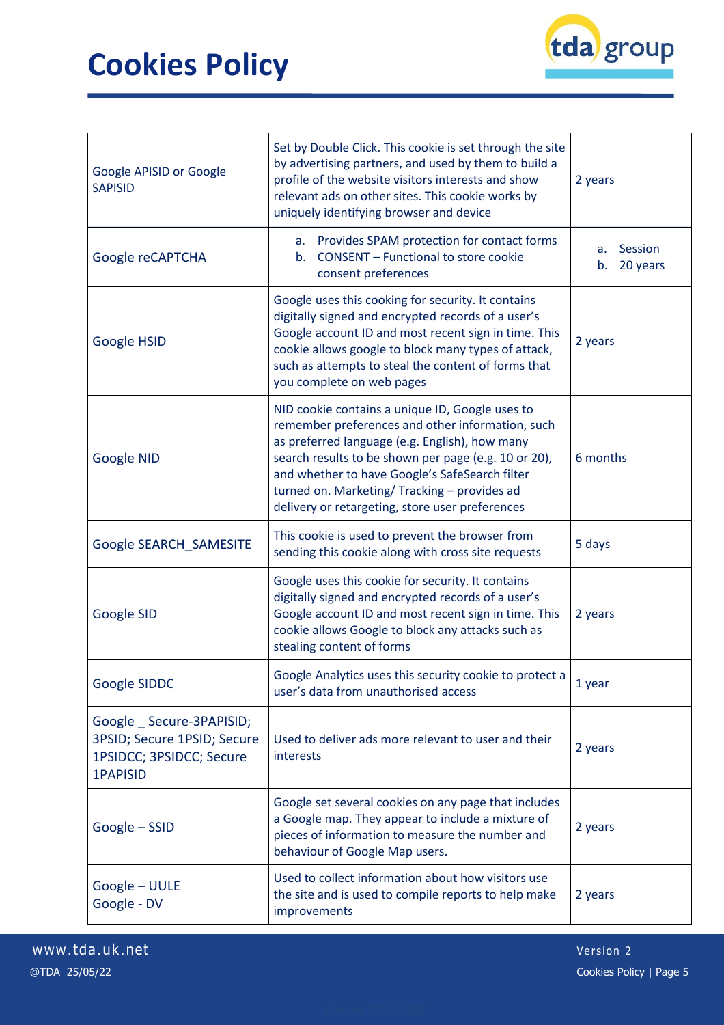

| Google APISID or Google<br><b>SAPISID</b>                                                             | Set by Double Click. This cookie is set through the site<br>by advertising partners, and used by them to build a<br>profile of the website visitors interests and show<br>relevant ads on other sites. This cookie works by<br>uniquely identifying browser and device                                                                                             | 2 years                         |
|-------------------------------------------------------------------------------------------------------|--------------------------------------------------------------------------------------------------------------------------------------------------------------------------------------------------------------------------------------------------------------------------------------------------------------------------------------------------------------------|---------------------------------|
| Google reCAPTCHA                                                                                      | a. Provides SPAM protection for contact forms<br><b>CONSENT - Functional to store cookie</b><br>b.<br>consent preferences                                                                                                                                                                                                                                          | Session<br>a.<br>20 years<br>b. |
| Google HSID                                                                                           | Google uses this cooking for security. It contains<br>digitally signed and encrypted records of a user's<br>Google account ID and most recent sign in time. This<br>cookie allows google to block many types of attack,<br>such as attempts to steal the content of forms that<br>you complete on web pages                                                        | 2 years                         |
| Google NID                                                                                            | NID cookie contains a unique ID, Google uses to<br>remember preferences and other information, such<br>as preferred language (e.g. English), how many<br>search results to be shown per page (e.g. 10 or 20),<br>and whether to have Google's SafeSearch filter<br>turned on. Marketing/ Tracking - provides ad<br>delivery or retargeting, store user preferences | 6 months                        |
| Google SEARCH SAMESITE                                                                                | This cookie is used to prevent the browser from<br>sending this cookie along with cross site requests                                                                                                                                                                                                                                                              | 5 days                          |
| Google SID                                                                                            | Google uses this cookie for security. It contains<br>digitally signed and encrypted records of a user's<br>Google account ID and most recent sign in time. This<br>cookie allows Google to block any attacks such as<br>stealing content of forms                                                                                                                  | 2 years                         |
| Google SIDDC                                                                                          | Google Analytics uses this security cookie to protect a<br>user's data from unauthorised access                                                                                                                                                                                                                                                                    | 1 year                          |
| Google Secure-3PAPISID;<br>3PSID; Secure 1PSID; Secure<br>1PSIDCC; 3PSIDCC; Secure<br><b>1PAPISID</b> | Used to deliver ads more relevant to user and their<br>interests                                                                                                                                                                                                                                                                                                   | 2 years                         |
| Google - SSID                                                                                         | Google set several cookies on any page that includes<br>a Google map. They appear to include a mixture of<br>pieces of information to measure the number and<br>behaviour of Google Map users.                                                                                                                                                                     | 2 years                         |
| Google - UULE<br>Google - DV                                                                          | Used to collect information about how visitors use<br>the site and is used to compile reports to help make<br>improvements                                                                                                                                                                                                                                         | 2 years                         |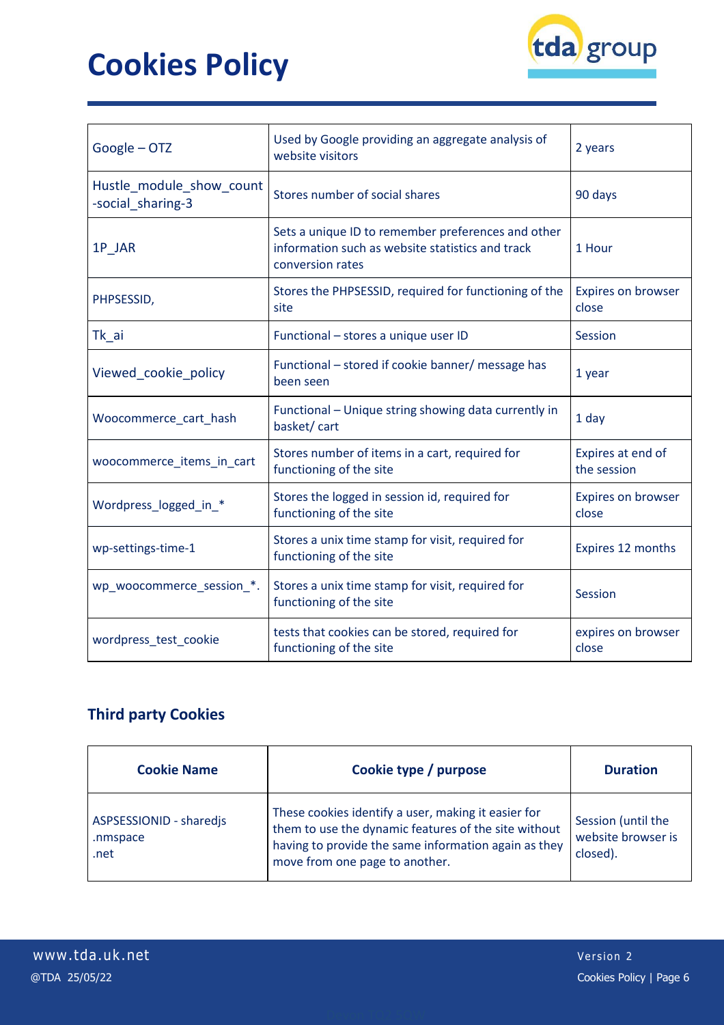

| Google - OTZ                                  | Used by Google providing an aggregate analysis of<br>website visitors                                                      | 2 years                          |
|-----------------------------------------------|----------------------------------------------------------------------------------------------------------------------------|----------------------------------|
| Hustle_module_show_count<br>-social sharing-3 | Stores number of social shares                                                                                             | 90 days                          |
| 1P_JAR                                        | Sets a unique ID to remember preferences and other<br>information such as website statistics and track<br>conversion rates | 1 Hour                           |
| PHPSESSID,                                    | Stores the PHPSESSID, required for functioning of the<br>site                                                              | Expires on browser<br>close      |
| Tk_ai                                         | Functional - stores a unique user ID                                                                                       | Session                          |
| Viewed cookie policy                          | Functional - stored if cookie banner/ message has<br>been seen                                                             | 1 year                           |
| Woocommerce cart hash                         | Functional - Unique string showing data currently in<br>basket/cart                                                        | 1 day                            |
| woocommerce_items_in_cart                     | Stores number of items in a cart, required for<br>functioning of the site                                                  | Expires at end of<br>the session |
| Wordpress logged in *                         | Stores the logged in session id, required for<br>functioning of the site                                                   | Expires on browser<br>close      |
| wp-settings-time-1                            | Stores a unix time stamp for visit, required for<br>functioning of the site                                                | Expires 12 months                |
| wp_woocommerce_session_*.                     | Stores a unix time stamp for visit, required for<br>functioning of the site                                                | Session                          |
| wordpress_test_cookie                         | tests that cookies can be stored, required for<br>functioning of the site                                                  | expires on browser<br>close      |

## **Third party Cookies**

| <b>Cookie Name</b>                          | Cookie type / purpose                                                                                                                                                                                 | <b>Duration</b>                                      |
|---------------------------------------------|-------------------------------------------------------------------------------------------------------------------------------------------------------------------------------------------------------|------------------------------------------------------|
| ASPSESSIONID - sharedjs<br>.nmspace<br>.net | These cookies identify a user, making it easier for<br>them to use the dynamic features of the site without<br>having to provide the same information again as they<br>move from one page to another. | Session (until the<br>website browser is<br>closed). |